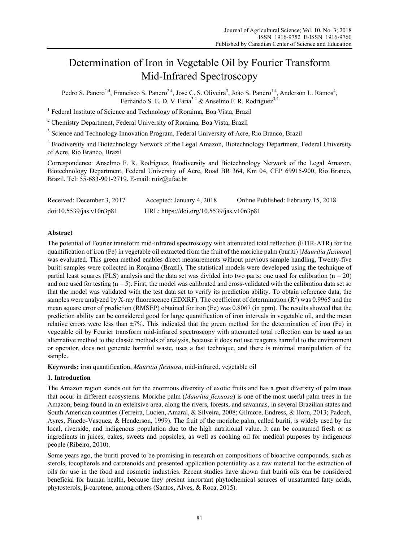# Determination of Iron in Vegetable Oil by Fourier Transform Mid-Infrared Spectroscopy

Pedro S. Panero<sup>1,4</sup>, Francisco S. Panero<sup>2,4</sup>, Jose C. S. Oliveira<sup>3</sup>, João S. Panero<sup>1,4</sup>, Anderson L. Ramos<sup>4</sup>, Fernando S. E. D. V. Faria<sup>3,4</sup> & Anselmo F. R. Rodriguez<sup>3,4</sup>

<sup>1</sup> Federal Institute of Science and Technology of Roraima, Boa Vista, Brazil

<sup>2</sup> Chemistry Department, Federal University of Roraima, Boa Vista, Brazil

<sup>3</sup> Science and Technology Innovation Program, Federal University of Acre, Rio Branco, Brazil

<sup>4</sup> Biodiversity and Biotechnology Network of the Legal Amazon, Biotechnology Department, Federal University of Acre, Rio Branco, Brazil

Correspondence: Anselmo F. R. Rodriguez, Biodiversity and Biotechnology Network of the Legal Amazon, Biotechnology Department, Federal University of Acre, Road BR 364, Km 04, CEP 69915-900, Rio Branco, Brazil. Tel: 55-683-901-2719. E-mail: ruiz@ufac.br

| Received: December 3, 2017 | Accepted: January 4, 2018                 | Online Published: February 15, 2018 |
|----------------------------|-------------------------------------------|-------------------------------------|
| doi:10.5539/jas.v10n3p81   | URL: https://doi.org/10.5539/jas.v10n3p81 |                                     |

## **Abstract**

The potential of Fourier transform mid-infrared spectroscopy with attenuated total reflection (FTIR-ATR) for the quantification of iron (Fe) in vegetable oil extracted from the fruit of the moriche palm (buriti) [*Mauritia flexuosa*] was evaluated. This green method enables direct measurements without previous sample handling. Twenty-five buriti samples were collected in Roraima (Brazil). The statistical models were developed using the technique of partial least squares (PLS) analysis and the data set was divided into two parts: one used for calibration ( $n = 20$ ) and one used for testing  $(n = 5)$ . First, the model was calibrated and cross-validated with the calibration data set so that the model was validated with the test data set to verify its prediction ability. To obtain reference data, the samples were analyzed by X-ray fluorescence (EDXRF). The coefficient of determination  $(R^2)$  was 0.9965 and the mean square error of prediction (RMSEP) obtained for iron (Fe) was 0.8067 (in ppm). The results showed that the prediction ability can be considered good for large quantification of iron intervals in vegetable oil, and the mean relative errors were less than ±7%. This indicated that the green method for the determination of iron (Fe) in vegetable oil by Fourier transform mid-infrared spectroscopy with attenuated total reflection can be used as an alternative method to the classic methods of analysis, because it does not use reagents harmful to the environment or operator, does not generate harmful waste, uses a fast technique, and there is minimal manipulation of the sample.

**Keywords:** iron quantification, *Mauritia flexuosa*, mid-infrared, vegetable oil

## **1. Introduction**

The Amazon region stands out for the enormous diversity of exotic fruits and has a great diversity of palm trees that occur in different ecosystems. Moriche palm (*Mauritia flexuosa*) is one of the most useful palm trees in the Amazon, being found in an extensive area, along the rivers, forests, and savannas, in several Brazilian states and South American countries (Ferreira, Lucien, Amaral, & Silveira, 2008; Gilmore, Endress, & Horn, 2013; Padoch, Ayres, Pinedo-Vasquez, & Henderson, 1999). The fruit of the moriche palm, called buriti, is widely used by the local, riverside, and indigenous population due to the high nutritional value. It can be consumed fresh or as ingredients in juices, cakes, sweets and popsicles, as well as cooking oil for medical purposes by indigenous people (Ribeiro, 2010).

Some years ago, the buriti proved to be promising in research on compositions of bioactive compounds, such as sterols, tocopherols and carotenoids and presented application potentiality as a raw material for the extraction of oils for use in the food and cosmetic industries. Recent studies have shown that buriti oils can be considered beneficial for human health, because they present important phytochemical sources of unsaturated fatty acids, phytosterols, β-carotene, among others (Santos, Alves, & Roca, 2015).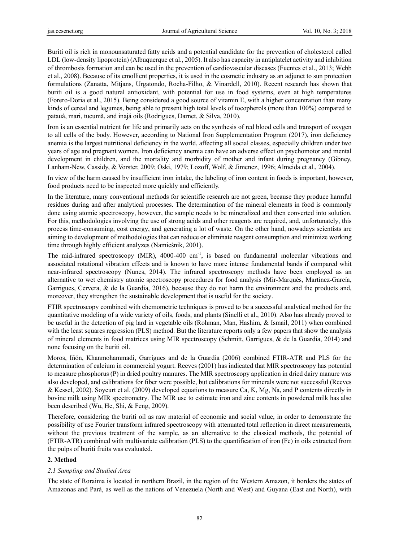Buriti oil is rich in monounsaturated fatty acids and a potential candidate for the prevention of cholesterol called LDL (low-density lipoprotein) (Albuquerque et al., 2005). It also has capacity in antiplatelet activity and inhibition of thrombosis formation and can be used in the prevention of cardiovascular diseases (Fuentes et al., 2013; Webb et al., 2008). Because of its emollient properties, it is used in the cosmetic industry as an adjunct to sun protection formulations (Zanatta, Mitjans, Urgatondo, Rocha-Filho, & Vinardell, 2010). Recent research has shown that buriti oil is a good natural antioxidant, with potential for use in food systems, even at high temperatures (Forero-Doria et al., 2015). Being considered a good source of vitamin E, with a higher concentration than many kinds of cereal and legumes, being able to present high total levels of tocopherols (more than 100%) compared to patauá, mari, tucumã, and inajá oils (Rodrigues, Darnet, & Silva, 2010).

Iron is an essential nutrient for life and primarily acts on the synthesis of red blood cells and transport of oxygen to all cells of the body. However, according to National Iron Supplementation Program (2017), iron deficiency anemia is the largest nutritional deficiency in the world, affecting all social classes, especially children under two years of age and pregnant women. Iron deficiency anemia can have an adverse effect on psychomotor and mental development in children, and the mortality and morbidity of mother and infant during pregnancy (Gibney, Lanham-New, Cassidy, & Vorster, 2009; Oski, 1979; Lozoff, Wolf, & Jimenez, 1996; Almeida et al., 2004).

In view of the harm caused by insufficient iron intake, the labeling of iron content in foods is important, however, food products need to be inspected more quickly and efficiently.

In the literature, many conventional methods for scientific research are not green, because they produce harmful residues during and after analytical processes. The determination of the mineral elements in food is commonly done using atomic spectroscopy, however, the sample needs to be mineralized and then converted into solution. For this, methodologies involving the use of strong acids and other reagents are required, and, unfortunately, this process time-consuming, cost energy, and generating a lot of waste. On the other hand, nowadays scientists are aiming to development of methodologies that can reduce or eliminate reagent consumption and minimize working time through highly efficient analyzes (Namieśnik, 2001).

The mid-infrared spectroscopy (MIR), 4000-400 cm<sup>-1</sup>, is based on fundamental molecular vibrations and associated rotational vibration effects and is known to have more intense fundamental bands if compared whit near-infrared spectroscopy (Nunes, 2014). The infrared spectroscopy methods have been employed as an alternative to wet chemistry atomic spectroscopy procedures for food analysis (Mir-Marqués, Martínez-García, Garrigues, Cervera, & de la Guardia, 2016), because they do not harm the environment and the products and, moreover, they strengthen the sustainable development that is useful for the society.

FTIR spectroscopy combined with chemometric techniques is proved to be a successful analytical method for the quantitative modeling of a wide variety of oils, foods, and plants (Sinelli et al., 2010). Also has already proved to be useful in the detection of pig lard in vegetable oils (Rohman, Man, Hashim, & Ismail, 2011) when combined with the least squares regression (PLS) method. But the literature reports only a few papers that show the analysis of mineral elements in food matrices using MIR spectroscopy (Schmitt, Garrigues, & de la Guardia, 2014) and none focusing on the buriti oil.

Moros, Iñón, Khanmohammadi, Garrigues and de la Guardia (2006) combined FTIR-ATR and PLS for the determination of calcium in commercial yogurt. Reeves (2001) has indicated that MIR spectroscopy has potential to measure phosphorus (P) in dried poultry manures. The MIR spectroscopy application in dried dairy manure was also developed, and calibrations for fiber were possible, but calibrations for minerals were not successful (Reeves & Kessel, 2002). Soyeurt et al. (2009) developed equations to measure Ca, K, Mg, Na, and P contents directly in bovine milk using MIR spectrometry. The MIR use to estimate iron and zinc contents in powdered milk has also been described (Wu, He, Shi, & Feng, 2009).

Therefore, considering the buriti oil as raw material of economic and social value, in order to demonstrate the possibility of use Fourier transform infrared spectroscopy with attenuated total reflection in direct measurements, without the previous treatment of the sample, as an alternative to the classical methods, the potential of (FTIR-ATR) combined with multivariate calibration (PLS) to the quantification of iron (Fe) in oils extracted from the pulps of buriti fruits was evaluated.

## **2. Method**

## *2.1 Sampling and Studied Area*

The state of Roraima is located in northern Brazil, in the region of the Western Amazon, it borders the states of Amazonas and Pará, as well as the nations of Venezuela (North and West) and Guyana (East and North), with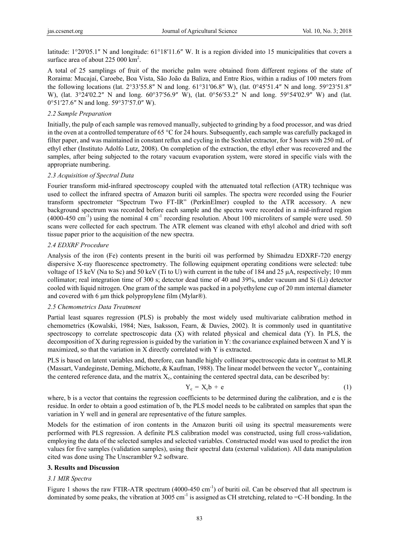latitude: 1°20′05.1″ N and longitude: 61°18′11.6″ W. It is a region divided into 15 municipalities that covers a surface area of about  $225000 \text{ km}^2$ .

A total of 25 samplings of fruit of the moriche palm were obtained from different regions of the state of Roraima: Mucajaí, Caroebe, Boa Vista, São João da Baliza, and Entre Rios, within a radius of 100 meters from the following locations (lat. 2°33′55.8″ N and long. 61°31′06.8″ W), (lat. 0°45′51.4″ N and long. 59°23′51.8″ W), (lat. 3°24′02.2″ N and long. 60°37′56.9″ W), (lat. 0°56′53.2″ N and long. 59°54′02.9″ W) and (lat. 0°51′27.6″ N and long. 59°37′57.0″ W).

## *2.2 Sample Preparation*

Initially, the pulp of each sample was removed manually, subjected to grinding by a food processor, and was dried in the oven at a controlled temperature of 65 °C for 24 hours. Subsequently, each sample was carefully packaged in filter paper, and was maintained in constant reflux and cycling in the Soxhlet extractor, for 5 hours with 250 mL of ethyl ether (Instituto Adolfo Lutz, 2008). On completion of the extraction, the ethyl ether was recovered and the samples, after being subjected to the rotary vacuum evaporation system, were stored in specific vials with the appropriate numbering.

## *2.3 Acquisition of Spectral Data*

Fourier transform mid-infrared spectroscopy coupled with the attenuated total reflection (ATR) technique was used to collect the infrared spectra of Amazon buriti oil samples. The spectra were recorded using the Fourier transform spectrometer "Spectrum Two FT-IR" (PerkinElmer) coupled to the ATR accessory. A new background spectrum was recorded before each sample and the spectra were recorded in a mid-infrared region  $(4000-450 \text{ cm}^{-1})$  using the nominal 4 cm<sup>-1</sup> recording resolution. About 100 microliters of sample were used. 50 scans were collected for each spectrum. The ATR element was cleaned with ethyl alcohol and dried with soft tissue paper prior to the acquisition of the new spectra.

## *2.4 EDXRF Procedure*

Analysis of the iron (Fe) contents present in the buriti oil was performed by Shimadzu EDXRF-720 energy dispersive X-ray fluorescence spectrometry. The following equipment operating conditions were selected: tube voltage of 15 keV (Na to Sc) and 50 keV (Ti to U) with current in the tube of 184 and 25 μA, respectively; 10 mm collimator; real integration time of 300 s; detector dead time of 40 and 39%, under vacuum and Si (Li) detector cooled with liquid nitrogen. One gram of the sample was packed in a polyethylene cup of 20 mm internal diameter and covered with 6 μm thick polypropylene film (Mylar®).

#### *2.5 Chemometrics Data Treatment*

Partial least squares regression (PLS) is probably the most widely used multivariate calibration method in chemometrics (Kowalski, 1984; Næs, Isaksson, Fearn, & Davies, 2002). It is commonly used in quantitative spectroscopy to correlate spectroscopic data (X) with related physical and chemical data (Y). In PLS, the decomposition of X during regression is guided by the variation in Y: the covariance explained between X and Y is maximized, so that the variation in X directly correlated with Y is extracted.

PLS is based on latent variables and, therefore, can handle highly collinear spectroscopic data in contrast to MLR (Massart, Vandeginste, Deming, Michotte, & Kaufman, 1988). The linear model between the vector  $Y_c$ , containing the centered reference data, and the matrix  $X_c$ , containing the centered spectral data, can be described by:

$$
Y_c = X_c b + e \tag{1}
$$

where, b is a vector that contains the regression coefficients to be determined during the calibration, and e is the residue. In order to obtain a good estimation of b, the PLS model needs to be calibrated on samples that span the variation in Y well and in general are representative of the future samples.

Models for the estimation of iron contents in the Amazon buriti oil using its spectral measurements were performed with PLS regression. A definite PLS calibration model was constructed, using full cross-validation, employing the data of the selected samples and selected variables. Constructed model was used to predict the iron values for five samples (validation samples), using their spectral data (external validation). All data manipulation cited was done using The Unscrambler 9.2 software.

#### **3. Results and Discussion**

#### *3.1 MIR Spectra*

Figure 1 shows the raw FTIR-ATR spectrum (4000-450 cm<sup>-1</sup>) of buriti oil. Can be observed that all spectrum is dominated by some peaks, the vibration at 3005 cm<sup>-1</sup> is assigned as CH stretching, related to  $=C-H$  bonding. In the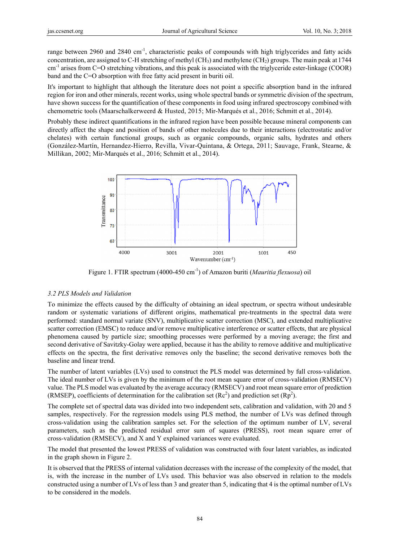range between 2960 and 2840 cm<sup>-1</sup>, characteristic peaks of compounds with high triglycerides and fatty acids concentration, are assigned to C-H stretching of methyl (CH<sub>3</sub>) and methylene (CH<sub>2</sub>) groups. The main peak at 1744  $\text{cm}^{-1}$  arises from C=O stretching vibrations, and this peak is associated with the triglyceride ester-linkage (COOR) band and the C=O absorption with free fatty acid present in buriti oil.

It's important to highlight that although the literature does not point a specific absorption band in the infrared region for iron and other minerals, recent works, using whole spectral bands or symmetric division of the spectrum, have shown success for the quantification of these components in food using infrared spectroscopy combined with chemometric tools (Maarschalkerweerd & Husted, 2015; Mir-Marqués et al., 2016; Schmitt et al., 2014).

Probably these indirect quantifications in the infrared region have been possible because mineral components can directly affect the shape and position of bands of other molecules due to their interactions (electrostatic and/or chelates) with certain functional groups, such as organic compounds, organic salts, hydrates and others (González-Martín, Hernandez-Hierro, Revilla, Vivar-Quintana, & Ortega, 2011; Sauvage, Frank, Stearne, & Millikan, 2002; Mir-Marqués et al., 2016; Schmitt et al., 2014).



Figure 1. FTIR spectrum (4000-450 cm<sup>-1</sup>) of Amazon buriti (*Mauritia flexuosa*) oil

### 3.2 PLS Models and Validation

To minimize the effects caused by the difficulty of obtaining an ideal spectrum, or spectra without undesirable random or systematic variations of different origins, mathematical pre-treatments in the spectral data were performed: standard normal variate (SNV), multiplicative scatter correction (MSC), and extended multiplicative scatter correction (EMSC) to reduce and/or remove multiplicative interference or scatter effects, that are physical phenomena caused by particle size; smoothing processes were performed by a moving average; the first and second derivative of Savitzky-Golay were applied, because it has the ability to remove additive and multiplicative effects on the spectra, the first derivative removes only the baseline; the second derivative removes both the baseline and linear trend.

The number of latent variables (LVs) used to construct the PLS model was determined by full cross-validation. The ideal number of LVs is given by the minimum of the root mean square error of cross-validation (RMSECV) value. The PLS model was evaluated by the average accuracy (RMSECV) and root mean square error of prediction (RMSEP), coefficients of determination for the calibration set  $(Re<sup>2</sup>)$  and prediction set  $(Rp<sup>2</sup>)$ .

The complete set of spectral data was divided into two independent sets, calibration and validation, with 20 and 5 samples, respectively. For the regression models using PLS method, the number of LVs was defined through cross-validation using the calibration samples set. For the selection of the optimum number of LV, several parameters, such as the predicted residual error sum of squares (PRESS), root mean square error of cross-validation (RMSECV), and X and Y explained variances were evaluated.

The model that presented the lowest PRESS of validation was constructed with four latent variables, as indicated in the graph shown in Figure 2.

It is observed that the PRESS of internal validation decreases with the increase of the complexity of the model, that is, with the increase in the number of LVs used. This behavior was also observed in relation to the models constructed using a number of LVs of less than 3 and greater than 5, indicating that 4 is the optimal number of LVs to be considered in the models.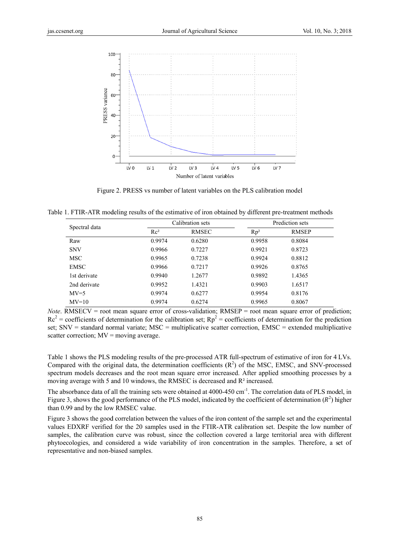

Figure 2. PRESS vs number of latent variables on the PLS calibration model

Table 1. FTIR-ATR modeling results of the estimative of iron obtained by different pre-treatment methods

| Spectral data |        | Calibration sets |        | Prediction sets |  |
|---------------|--------|------------------|--------|-----------------|--|
|               | $Rc^2$ | <b>RMSEC</b>     | $Rp^2$ | <b>RMSEP</b>    |  |
| Raw           | 0.9974 | 0.6280           | 0.9958 | 0.8084          |  |
| <b>SNV</b>    | 0.9966 | 0.7227           | 0.9921 | 0.8723          |  |
| <b>MSC</b>    | 0.9965 | 0.7238           | 0.9924 | 0.8812          |  |
| <b>EMSC</b>   | 0.9966 | 0.7217           | 0.9926 | 0.8765          |  |
| 1st derivate  | 0.9940 | 1.2677           | 0.9892 | 1.4365          |  |
| 2nd derivate  | 0.9952 | 1.4321           | 0.9903 | 1.6517          |  |
| $MV=5$        | 0.9974 | 0.6277           | 0.9954 | 0.8176          |  |
| $MV=10$       | 0.9974 | 0.6274           | 0.9965 | 0.8067          |  |

*Note.* RMSECV = root mean square error of cross-validation;  $RMSEP$  = root mean square error of prediction;  $Re<sup>2</sup>$  = coefficients of determination for the calibration set;  $Rp<sup>2</sup>$  = coefficients of determination for the prediction set; SNV = standard normal variate; MSC = multiplicative scatter correction, EMSC = extended multiplicative scatter correction;  $MV = moving average$ .

Table 1 shows the PLS modeling results of the pre-processed ATR full-spectrum of estimative of iron for 4 LVs. Compared with the original data, the determination coefficients  $(R^2)$  of the MSC, EMSC, and SNV-processed spectrum models decreases and the root mean square error increased. After applied smoothing processes by a moving average with 5 and 10 windows, the RMSEC is decreased and R<sup>2</sup> increased.

The absorbance data of all the training sets were obtained at 4000-450 cm<sup>-1</sup>. The correlation data of PLS model, in Figure 3, shows the good performance of the PLS model, indicated by the coefficient of determination  $(R^2)$  higher than 0.99 and by the low RMSEC value.

Figure 3 shows the good correlation between the values of the iron content of the sample set and the experimental values EDXRF verified for the 20 samples used in the FTIR-ATR calibration set. Despite the low number of samples, the calibration curve was robust, since the collection covered a large territorial area with different phytoecologies, and considered a wide variability of iron concentration in the samples. Therefore, a set of representative and non-biased samples.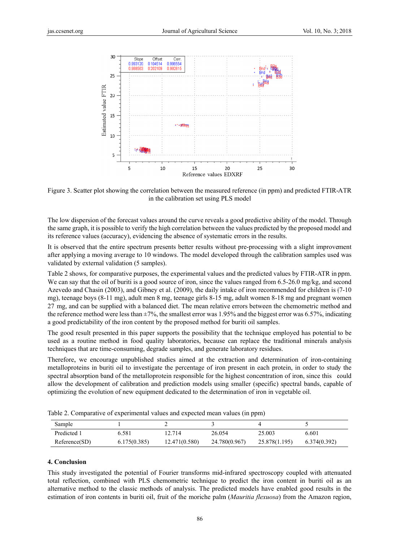

Figure 3. Scatter plot showing the correlation between the measured reference (in ppm) and predicted FTIR-ATR in the calibration set using PLS model

The low dispersion of the forecast values around the curve reveals a good predictive ability of the model. Through the same graph, it is possible to verify the high correlation between the values predicted by the proposed model and its reference values (accuracy), evidencing the absence of systematic errors in the results.

It is observed that the entire spectrum presents better results without pre-processing with a slight improvement after applying a moving average to 10 windows. The model developed through the calibration samples used was validated by external validation (5 samples).

Table 2 shows, for comparative purposes, the experimental values and the predicted values by FTIR-ATR in ppm. We can say that the oil of buriti is a good source of iron, since the values ranged from  $6.5-26.0$  mg/kg, and second Azevedo and Chasin (2003), and Gibney et al. (2009), the daily intake of iron recommended for children is (7-10 mg), teenage boys (8-11 mg), adult men 8 mg, teenage girls 8-15 mg, adult women 8-18 mg and pregnant women 27 mg, and can be supplied with a balanced diet. The mean relative errors between the chemometric method and the reference method were less than  $\pm 7\%$ , the smallest error was 1.95% and the biggest error was 6.57%, indicating a good predictability of the iron content by the proposed method for buriti oil samples.

The good result presented in this paper supports the possibility that the technique employed has potential to be used as a routine method in food quality laboratories, because can replace the traditional minerals analysis techniques that are time-consuming, degrade samples, and generate laboratory residues.

Therefore, we encourage unpublished studies aimed at the extraction and determination of iron-containing metalloproteins in buriti oil to investigate the percentage of iron present in each protein, in order to study the spectral absorption band of the metalloprotein responsible for the highest concentration of iron, since this could allow the development of calibration and prediction models using smaller (specific) spectral bands, capable of optimizing the evolution of new equipment dedicated to the determination of iron in vegetable oil.

| $\mathbf{r}$ and $\mathbf{r}$ are computed to the computation of the control with vertex interests (in point) |              |               |               |               |              |  |  |
|---------------------------------------------------------------------------------------------------------------|--------------|---------------|---------------|---------------|--------------|--|--|
| Sample                                                                                                        |              |               |               |               |              |  |  |
| Predicted 1                                                                                                   | 6.581        | 12.714        | 26 054        | 25.003        | 6.601        |  |  |
| Reference(SD)                                                                                                 | 6.175(0.385) | 12.471(0.580) | 24.780(0.967) | 25.878(1.195) | 6.374(0.392) |  |  |

Table 2. Comparative of experimental values and expected mean values (in ppm)

#### 4. Conclusion

This study investigated the potential of Fourier transforms mid-infrared spectroscopy coupled with attenuated total reflection, combined with PLS chemometric technique to predict the iron content in buriti oil as an alternative method to the classic methods of analysis. The predicted models have enabled good results in the estimation of iron contents in buriti oil, fruit of the moriche palm (Mauritia flexuosa) from the Amazon region,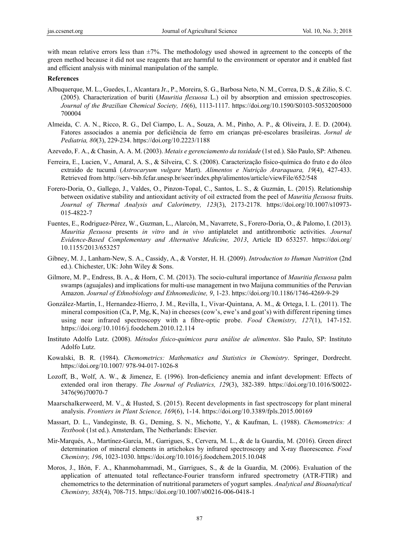with mean relative errors less than  $\pm 7\%$ . The methodology used showed in agreement to the concepts of the green method because it did not use reagents that are harmful to the environment or operator and it enabled fast and efficient analysis with minimal manipulation of the sample.

#### **References**

- Albuquerque, M. L., Guedes, I., Alcantara Jr., P., Moreira, S. G., Barbosa Neto, N. M., Correa, D. S., & Zilio, S. C. (2005). Characterization of buriti (*Mauritia flexuosa* L.) oil by absorption and emission spectroscopies. *Journal of the Brazilian Chemical Society, 16*(6), 1113-1117. https://doi.org/10.1590/S0103-50532005000 700004
- Almeida, C. A. N., Ricco, R. G., Del Ciampo, L. A., Souza, A. M., Pinho, A. P., & Oliveira, J. E. D. (2004). Fatores associados a anemia por deficiência de ferro em crianças pré-escolares brasileiras. *Jornal de Pediatria, 80*(3), 229-234. https://doi.org/10.2223/1188
- Azevedo, F. A., & Chasin, A. A. M. (2003). *Metais e gerenciamento da toxidade* (1st ed.). São Paulo, SP: Atheneu.
- Ferreira, E., Lucien, V., Amaral, A. S., & Silveira, C. S. (2008). Caracterização físico-química do fruto e do óleo extraído de tucumã (*Astrocaryum vulgare* Mart). *Alimentos e Nutrição Araraquara, 19*(4), 427-433. Retrieved from http://serv-bib.fcfar.unesp.br/seer/index.php/alimentos/article/viewFile/652/548
- Forero-Doria, O., Gallego, J., Valdes, O., Pinzon-Topal, C., Santos, L. S., & Guzmán, L. (2015). Relationship between oxidative stability and antioxidant activity of oil extracted from the peel of *Mauritia flexuosa* fruits. *Journal of Thermal Analysis and Calorimetry, 123*(3), 2173-2178. https://doi.org/10.1007/s10973- 015-4822-7
- Fuentes, E., Rodriguez-Pérez, W., Guzman, L., Alarcón, M., Navarrete, S., Forero-Doria, O., & Palomo, I. (2013). *Mauritia flexuosa* presents *in vitro* and *in vivo* antiplatelet and antithrombotic activities. *Journal Evidence-Based Complementary and Alternative Medicine, 2013*, Article ID 653257. https://doi.org/ 10.1155/2013/653257
- Gibney, M. J., Lanham-New, S. A., Cassidy, A., & Vorster, H. H. (2009). *Introduction to Human Nutrition* (2nd ed.). Chichester, UK: John Wiley & Sons.
- Gilmore, M. P., Endress, B. A., & Horn, C. M. (2013). The socio-cultural importance of *Mauritia flexuosa* palm swamps (aguajales) and implications for multi-use management in two Maijuna communities of the Peruvian Amazon. *Journal of Ethnobiology and Ethnomedicine, 9*, 1-23. https://doi.org/10.1186/1746-4269-9-29
- González-Martín, I., Hernandez-Hierro, J. M., Revilla, I., Vivar-Quintana, A. M., & Ortega, I. L. (2011). The mineral composition (Ca, P, Mg, K, Na) in cheeses (cow's, ewe's and goat's) with different ripening times using near infrared spectroscopy with a fibre-optic probe. *Food Chemistry, 127*(1), 147-152. https://doi.org/10.1016/j.foodchem.2010.12.114
- Instituto Adolfo Lutz. (2008). *Métodos físico-químicos para análise de alimentos*. São Paulo, SP: Instituto Adolfo Lutz.
- Kowalski, B. R. (1984). *Chemometrics: Mathematics and Statistics in Chemistry*. Springer, Dordrecht. https://doi.org/10.1007/ 978-94-017-1026-8
- Lozoff, B., Wolf, A. W., & Jimenez, E. (1996). Iron-deficiency anemia and infant development: Effects of extended oral iron therapy. *The Journal of Pediatrics, 129*(3), 382-389. https://doi.org/10.1016/S0022- 3476(96)70070-7
- Maarschalkerweerd, M. V., & Husted, S. (2015). Recent developments in fast spectroscopy for plant mineral analysis. *Frontiers in Plant Science, 169*(6), 1-14. https://doi.org/10.3389/fpls.2015.00169
- Massart, D. L., Vandeginste, B. G., Deming, S. N., Michotte, Y., & Kaufman, L. (1988). *Chemometrics: A Textbook* (1st ed.). Amsterdam, The Netherlands: Elsevier.
- Mir-Marqués, A., Martínez-García, M., Garrigues, S., Cervera, M. L., & de la Guardia, M. (2016). Green direct determination of mineral elements in artichokes by infrared spectroscopy and X-ray fluorescence*. Food Chemistry, 196*, 1023-1030. https://doi.org/10.1016/j.foodchem.2015.10.048
- Moros, J., Iñón, F. A., Khanmohammadi, M., Garrigues, S., & de la Guardia, M. (2006). Evaluation of the application of attenuated total reflectance-Fourier transform infrared spectrometry (ATR-FTIR) and chemometrics to the determination of nutritional parameters of yogurt samples. *Analytical and Bioanalytical Chemistry, 385*(4), 708-715. https://doi.org/10.1007/s00216-006-0418-1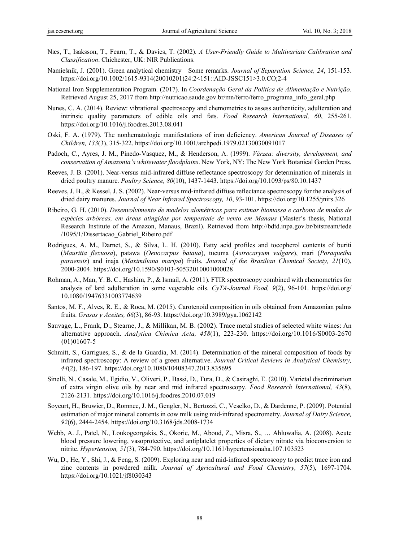- Næs, T., Isaksson, T., Fearn, T., & Davies, T. (2002). *A User-Friendly Guide to Multivariate Calibration and Classification*. Chichester, UK: NIR Publications.
- Namieśnik, J. (2001). Green analytical chemistry—Some remarks. *Journal of Separation Science, 24*, 151-153. https://doi.org/10.1002/1615-9314(20010201)24:2<151::AID-JSSC151>3.0.CO;2-4
- National Iron Supplementation Program. (2017). In *Coordenação Geral da Política de Alimentação e Nutrição*. Retrieved August 25, 2017 from http://nutricao.saude.gov.br/mn/ferro/ferro\_programa\_info\_geral.php
- Nunes, C. A. (2014). Review: vibrational spectroscopy and chemometrics to assess authenticity, adulteration and intrinsic quality parameters of edible oils and fats. *Food Research International, 60*, 255-261. https://doi.org/10.1016/j.foodres.2013.08.041
- Oski, F. A. (1979). The nonhematologic manifestations of iron deficiency. *American Journal of Diseases of Children, 133*(3), 315-322. https://doi.org/10.1001/archpedi.1979.02130030091017
- Padoch, C., Ayres, J. M., Pinedo-Vasquez, M., & Henderson, A. (1999). *Várzea: diversity, development, and conservation of Amazonia's whitewater floodplains*. New York, NY: The New York Botanical Garden Press.
- Reeves, J. B. (2001). Near-versus mid-infrared diffuse reflectance spectroscopy for determination of minerals in dried poultry manure. *Poultry Science, 80*(10), 1437-1443. https://doi.org/10.1093/ps/80.10.1437
- Reeves, J. B., & Kessel, J. S. (2002). Near-versus mid-infrared diffuse reflectance spectroscopy for the analysis of dried dairy manures. *Journal of Near Infrared Spectroscopy, 10*, 93-101. https://doi.org/10.1255/jnirs.326
- Ribeiro, G. H. (2010). *Desenvolvimento de modelos alométricos para estimar biomassa e carbono de mudas de espécies arbóreas, em áreas atingidas por tempestade de vento em Manaus* (Master's thesis, National Research Institute of the Amazon, Manaus, Brazil). Retrieved from http://bdtd.inpa.gov.br/bitstream/tede /1095/1/Dissertacao\_Gabriel\_Ribeiro.pdf
- Rodrigues, A. M., Darnet, S., & Silva, L. H. (2010). Fatty acid profiles and tocopherol contents of buriti (*Mauritia flexuosa*), patawa (*Oenocarpus bataua*), tucuma (*Astrocaryum vulgare*), mari (*Poraqueiba paraensis*) and inaja (*Maximiliana maripa*) fruits. *Journal of the Brazilian Chemical Society, 21*(10), 2000-2004. https://doi.org/10.1590/S0103-50532010001000028
- Rohman, A., Man, Y. B. C., Hashim, P., & Ismail, A. (2011). FTIR spectroscopy combined with chemometrics for analysis of lard adulteration in some vegetable oils. *CyTA-Journal Food, 9*(2), 96-101. https://doi.org/ 10.1080/19476331003774639
- Santos, M. F., Alves, R. E., & Roca, M. (2015). Carotenoid composition in oils obtained from Amazonian palms fruits. *Grasas y Aceites, 66*(3), 86-93. https://doi.org/10.3989/gya.1062142
- Sauvage, L., Frank, D., Stearne, J., & Millikan, M. B. (2002). Trace metal studies of selected white wines: An alternative approach. *Analytica Chimica Acta, 458*(1), 223-230. https://doi.org/10.1016/S0003-2670 (01)01607-5
- Schmitt, S., Garrigues, S., & de la Guardia, M. (2014). Determination of the mineral composition of foods by infrared spectroscopy: A review of a green alternative. *Journal Critical Reviews in Analytical Chemistry, 44*(2), 186-197. https://doi.org/10.1080/10408347.2013.835695
- Sinelli, N., Casale, M., Egidio, V., Oliveri, P., Bassi, D., Tura, D., & Casiraghi, E. (2010). Varietal discrimination of extra virgin olive oils by near and mid infrared spectroscopy. *Food Research International, 43*(8), 2126-2131. https://doi.org/10.1016/j.foodres.2010.07.019
- Soyeurt, H., Bruwier, D., Romnee, J. M., Gengler, N., Bertozzi, C., Veselko, D., & Dardenne, P. (2009). Potential estimation of major mineral contents in cow milk using mid-infrared spectrometry. *Journal of Dairy Science, 92*(6), 2444-2454. https://doi.org/10.3168/jds.2008-1734
- Webb, A. J., Patel, N., Loukogeorgakis, S., Okorie, M., Aboud, Z., Misra, S., … Ahluwalia, A. (2008). Acute blood pressure lowering, vasoprotective, and antiplatelet properties of dietary nitrate via bioconversion to nitrite. *Hypertension, 51*(3), 784-790. https://doi.org/10.1161/hypertensionaha.107.103523
- Wu, D., He, Y., Shi, J., & Feng, S. (2009). Exploring near and mid-infrared spectroscopy to predict trace iron and zinc contents in powdered milk. *Journal of Agricultural and Food Chemistry, 57*(5), 1697-1704. https://doi.org/10.1021/jf8030343